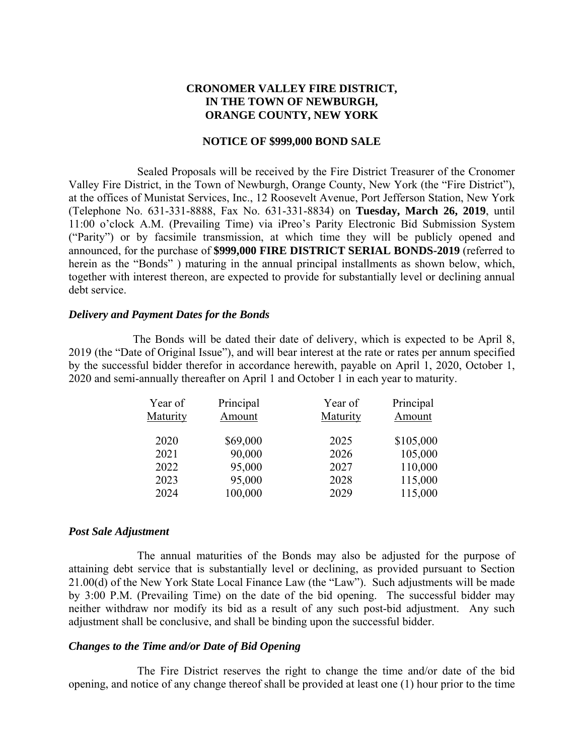# **CRONOMER VALLEY FIRE DISTRICT, IN THE TOWN OF NEWBURGH, ORANGE COUNTY, NEW YORK**

#### **NOTICE OF \$999,000 BOND SALE**

Sealed Proposals will be received by the Fire District Treasurer of the Cronomer Valley Fire District, in the Town of Newburgh, Orange County, New York (the "Fire District"), at the offices of Munistat Services, Inc., 12 Roosevelt Avenue, Port Jefferson Station, New York (Telephone No. 631-331-8888, Fax No. 631-331-8834) on **Tuesday, March 26, 2019**, until 11:00 o'clock A.M. (Prevailing Time) via iPreo's Parity Electronic Bid Submission System ("Parity") or by facsimile transmission, at which time they will be publicly opened and announced, for the purchase of **\$999,000 FIRE DISTRICT SERIAL BONDS-2019** (referred to herein as the "Bonds" ) maturing in the annual principal installments as shown below, which, together with interest thereon, are expected to provide for substantially level or declining annual debt service.

#### *Delivery and Payment Dates for the Bonds*

The Bonds will be dated their date of delivery, which is expected to be April 8, 2019 (the "Date of Original Issue"), and will bear interest at the rate or rates per annum specified by the successful bidder therefor in accordance herewith, payable on April 1, 2020, October 1, 2020 and semi-annually thereafter on April 1 and October 1 in each year to maturity.

| Year of<br>Maturity | Principal<br>Amount | Year of<br>Maturity | Principal<br>Amount |
|---------------------|---------------------|---------------------|---------------------|
| 2020                | \$69,000            | 2025                | \$105,000           |
| 2021                | 90,000              | 2026                | 105,000             |
| 2022                | 95,000              | 2027                | 110,000             |
| 2023                | 95,000              | 2028                | 115,000             |
| 2024                | 100,000             | 2029                | 115,000             |
|                     |                     |                     |                     |

#### *Post Sale Adjustment*

The annual maturities of the Bonds may also be adjusted for the purpose of attaining debt service that is substantially level or declining, as provided pursuant to Section 21.00(d) of the New York State Local Finance Law (the "Law"). Such adjustments will be made by 3:00 P.M. (Prevailing Time) on the date of the bid opening. The successful bidder may neither withdraw nor modify its bid as a result of any such post-bid adjustment. Any such adjustment shall be conclusive, and shall be binding upon the successful bidder.

#### *Changes to the Time and/or Date of Bid Opening*

The Fire District reserves the right to change the time and/or date of the bid opening, and notice of any change thereof shall be provided at least one (1) hour prior to the time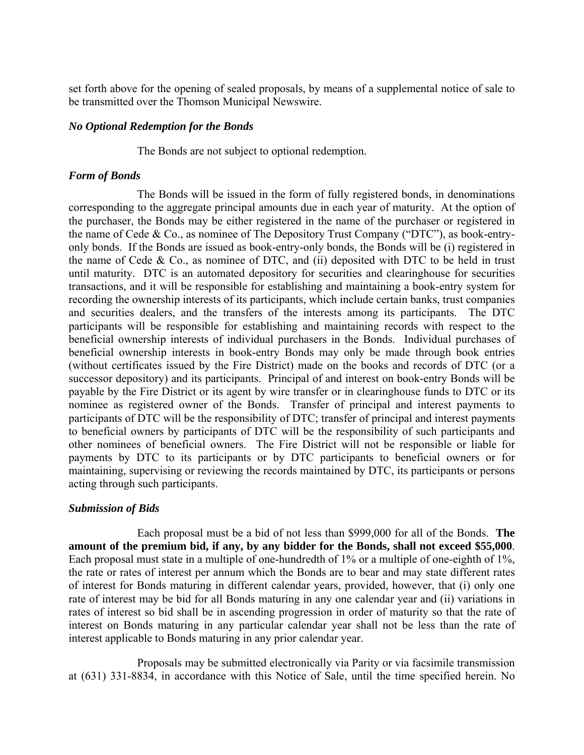set forth above for the opening of sealed proposals, by means of a supplemental notice of sale to be transmitted over the Thomson Municipal Newswire.

#### *No Optional Redemption for the Bonds*

The Bonds are not subject to optional redemption.

## *Form of Bonds*

The Bonds will be issued in the form of fully registered bonds, in denominations corresponding to the aggregate principal amounts due in each year of maturity. At the option of the purchaser, the Bonds may be either registered in the name of the purchaser or registered in the name of Cede & Co., as nominee of The Depository Trust Company ("DTC"), as book-entryonly bonds. If the Bonds are issued as book-entry-only bonds, the Bonds will be (i) registered in the name of Cede  $& Co.,$  as nominee of DTC, and (ii) deposited with DTC to be held in trust until maturity. DTC is an automated depository for securities and clearinghouse for securities transactions, and it will be responsible for establishing and maintaining a book-entry system for recording the ownership interests of its participants, which include certain banks, trust companies and securities dealers, and the transfers of the interests among its participants. The DTC participants will be responsible for establishing and maintaining records with respect to the beneficial ownership interests of individual purchasers in the Bonds. Individual purchases of beneficial ownership interests in book-entry Bonds may only be made through book entries (without certificates issued by the Fire District) made on the books and records of DTC (or a successor depository) and its participants. Principal of and interest on book-entry Bonds will be payable by the Fire District or its agent by wire transfer or in clearinghouse funds to DTC or its nominee as registered owner of the Bonds. Transfer of principal and interest payments to participants of DTC will be the responsibility of DTC; transfer of principal and interest payments to beneficial owners by participants of DTC will be the responsibility of such participants and other nominees of beneficial owners. The Fire District will not be responsible or liable for payments by DTC to its participants or by DTC participants to beneficial owners or for maintaining, supervising or reviewing the records maintained by DTC, its participants or persons acting through such participants.

## *Submission of Bids*

Each proposal must be a bid of not less than \$999,000 for all of the Bonds. **The amount of the premium bid, if any, by any bidder for the Bonds, shall not exceed \$55,000**. Each proposal must state in a multiple of one-hundredth of 1% or a multiple of one-eighth of 1%, the rate or rates of interest per annum which the Bonds are to bear and may state different rates of interest for Bonds maturing in different calendar years, provided, however, that (i) only one rate of interest may be bid for all Bonds maturing in any one calendar year and (ii) variations in rates of interest so bid shall be in ascending progression in order of maturity so that the rate of interest on Bonds maturing in any particular calendar year shall not be less than the rate of interest applicable to Bonds maturing in any prior calendar year.

Proposals may be submitted electronically via Parity or via facsimile transmission at (631) 331-8834, in accordance with this Notice of Sale, until the time specified herein. No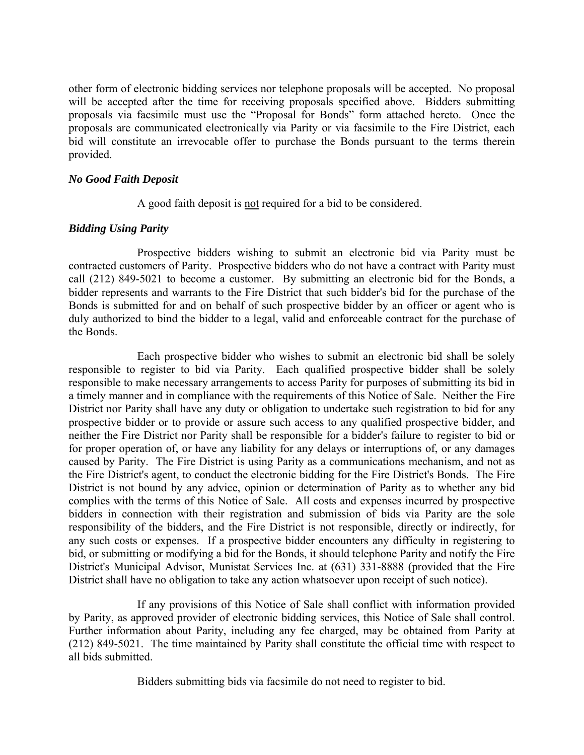other form of electronic bidding services nor telephone proposals will be accepted. No proposal will be accepted after the time for receiving proposals specified above. Bidders submitting proposals via facsimile must use the "Proposal for Bonds" form attached hereto. Once the proposals are communicated electronically via Parity or via facsimile to the Fire District, each bid will constitute an irrevocable offer to purchase the Bonds pursuant to the terms therein provided.

#### *No Good Faith Deposit*

A good faith deposit is not required for a bid to be considered.

## *Bidding Using Parity*

Prospective bidders wishing to submit an electronic bid via Parity must be contracted customers of Parity. Prospective bidders who do not have a contract with Parity must call (212) 849-5021 to become a customer. By submitting an electronic bid for the Bonds, a bidder represents and warrants to the Fire District that such bidder's bid for the purchase of the Bonds is submitted for and on behalf of such prospective bidder by an officer or agent who is duly authorized to bind the bidder to a legal, valid and enforceable contract for the purchase of the Bonds.

Each prospective bidder who wishes to submit an electronic bid shall be solely responsible to register to bid via Parity. Each qualified prospective bidder shall be solely responsible to make necessary arrangements to access Parity for purposes of submitting its bid in a timely manner and in compliance with the requirements of this Notice of Sale. Neither the Fire District nor Parity shall have any duty or obligation to undertake such registration to bid for any prospective bidder or to provide or assure such access to any qualified prospective bidder, and neither the Fire District nor Parity shall be responsible for a bidder's failure to register to bid or for proper operation of, or have any liability for any delays or interruptions of, or any damages caused by Parity. The Fire District is using Parity as a communications mechanism, and not as the Fire District's agent, to conduct the electronic bidding for the Fire District's Bonds. The Fire District is not bound by any advice, opinion or determination of Parity as to whether any bid complies with the terms of this Notice of Sale. All costs and expenses incurred by prospective bidders in connection with their registration and submission of bids via Parity are the sole responsibility of the bidders, and the Fire District is not responsible, directly or indirectly, for any such costs or expenses. If a prospective bidder encounters any difficulty in registering to bid, or submitting or modifying a bid for the Bonds, it should telephone Parity and notify the Fire District's Municipal Advisor, Munistat Services Inc. at (631) 331-8888 (provided that the Fire District shall have no obligation to take any action whatsoever upon receipt of such notice).

If any provisions of this Notice of Sale shall conflict with information provided by Parity, as approved provider of electronic bidding services, this Notice of Sale shall control. Further information about Parity, including any fee charged, may be obtained from Parity at (212) 849-5021. The time maintained by Parity shall constitute the official time with respect to all bids submitted.

Bidders submitting bids via facsimile do not need to register to bid.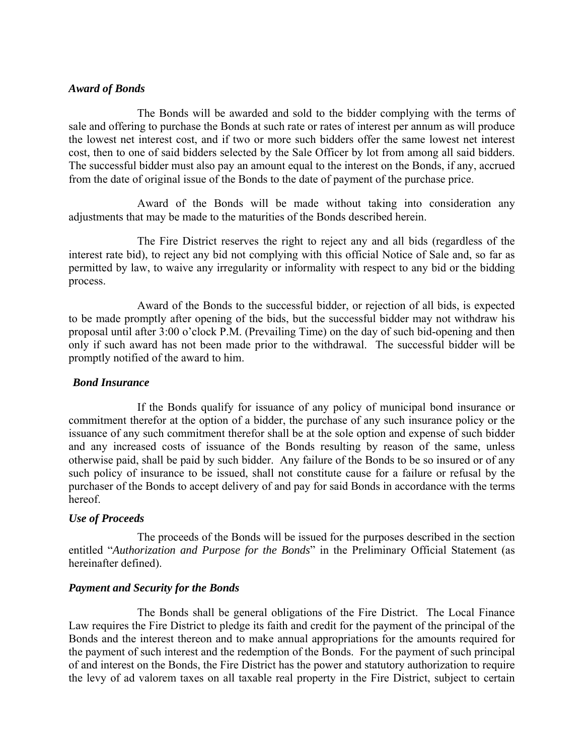#### *Award of Bonds*

The Bonds will be awarded and sold to the bidder complying with the terms of sale and offering to purchase the Bonds at such rate or rates of interest per annum as will produce the lowest net interest cost, and if two or more such bidders offer the same lowest net interest cost, then to one of said bidders selected by the Sale Officer by lot from among all said bidders. The successful bidder must also pay an amount equal to the interest on the Bonds, if any, accrued from the date of original issue of the Bonds to the date of payment of the purchase price.

Award of the Bonds will be made without taking into consideration any adjustments that may be made to the maturities of the Bonds described herein.

The Fire District reserves the right to reject any and all bids (regardless of the interest rate bid), to reject any bid not complying with this official Notice of Sale and, so far as permitted by law, to waive any irregularity or informality with respect to any bid or the bidding process.

Award of the Bonds to the successful bidder, or rejection of all bids, is expected to be made promptly after opening of the bids, but the successful bidder may not withdraw his proposal until after 3:00 o'clock P.M. (Prevailing Time) on the day of such bid-opening and then only if such award has not been made prior to the withdrawal. The successful bidder will be promptly notified of the award to him.

#### *Bond Insurance*

If the Bonds qualify for issuance of any policy of municipal bond insurance or commitment therefor at the option of a bidder, the purchase of any such insurance policy or the issuance of any such commitment therefor shall be at the sole option and expense of such bidder and any increased costs of issuance of the Bonds resulting by reason of the same, unless otherwise paid, shall be paid by such bidder. Any failure of the Bonds to be so insured or of any such policy of insurance to be issued, shall not constitute cause for a failure or refusal by the purchaser of the Bonds to accept delivery of and pay for said Bonds in accordance with the terms hereof.

#### *Use of Proceeds*

The proceeds of the Bonds will be issued for the purposes described in the section entitled "*Authorization and Purpose for the Bonds*" in the Preliminary Official Statement (as hereinafter defined).

## *Payment and Security for the Bonds*

The Bonds shall be general obligations of the Fire District. The Local Finance Law requires the Fire District to pledge its faith and credit for the payment of the principal of the Bonds and the interest thereon and to make annual appropriations for the amounts required for the payment of such interest and the redemption of the Bonds. For the payment of such principal of and interest on the Bonds, the Fire District has the power and statutory authorization to require the levy of ad valorem taxes on all taxable real property in the Fire District, subject to certain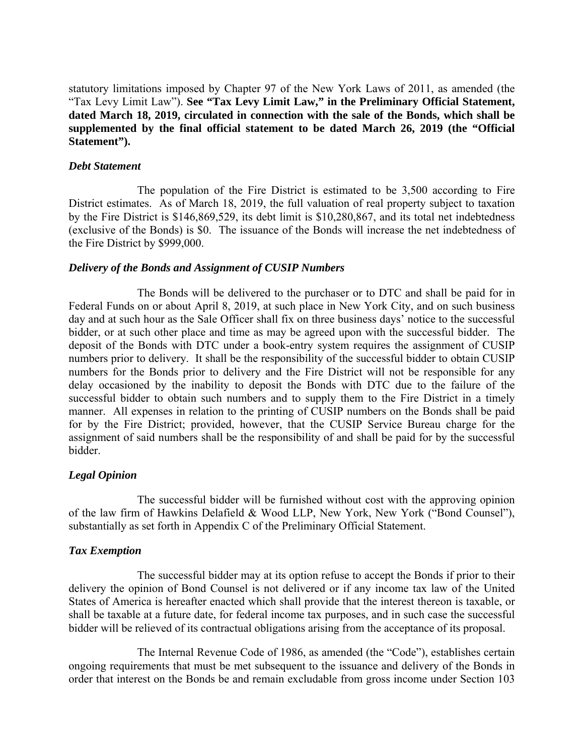statutory limitations imposed by Chapter 97 of the New York Laws of 2011, as amended (the "Tax Levy Limit Law"). **See "Tax Levy Limit Law," in the Preliminary Official Statement, dated March 18, 2019, circulated in connection with the sale of the Bonds, which shall be supplemented by the final official statement to be dated March 26, 2019 (the "Official Statement").** 

#### *Debt Statement*

The population of the Fire District is estimated to be 3,500 according to Fire District estimates. As of March 18, 2019, the full valuation of real property subject to taxation by the Fire District is \$146,869,529, its debt limit is \$10,280,867, and its total net indebtedness (exclusive of the Bonds) is \$0. The issuance of the Bonds will increase the net indebtedness of the Fire District by \$999,000.

## *Delivery of the Bonds and Assignment of CUSIP Numbers*

The Bonds will be delivered to the purchaser or to DTC and shall be paid for in Federal Funds on or about April 8, 2019, at such place in New York City, and on such business day and at such hour as the Sale Officer shall fix on three business days' notice to the successful bidder, or at such other place and time as may be agreed upon with the successful bidder. The deposit of the Bonds with DTC under a book-entry system requires the assignment of CUSIP numbers prior to delivery. It shall be the responsibility of the successful bidder to obtain CUSIP numbers for the Bonds prior to delivery and the Fire District will not be responsible for any delay occasioned by the inability to deposit the Bonds with DTC due to the failure of the successful bidder to obtain such numbers and to supply them to the Fire District in a timely manner. All expenses in relation to the printing of CUSIP numbers on the Bonds shall be paid for by the Fire District; provided, however, that the CUSIP Service Bureau charge for the assignment of said numbers shall be the responsibility of and shall be paid for by the successful bidder.

## *Legal Opinion*

The successful bidder will be furnished without cost with the approving opinion of the law firm of Hawkins Delafield & Wood LLP, New York, New York ("Bond Counsel"), substantially as set forth in Appendix C of the Preliminary Official Statement.

## *Tax Exemption*

The successful bidder may at its option refuse to accept the Bonds if prior to their delivery the opinion of Bond Counsel is not delivered or if any income tax law of the United States of America is hereafter enacted which shall provide that the interest thereon is taxable, or shall be taxable at a future date, for federal income tax purposes, and in such case the successful bidder will be relieved of its contractual obligations arising from the acceptance of its proposal.

The Internal Revenue Code of 1986, as amended (the "Code"), establishes certain ongoing requirements that must be met subsequent to the issuance and delivery of the Bonds in order that interest on the Bonds be and remain excludable from gross income under Section 103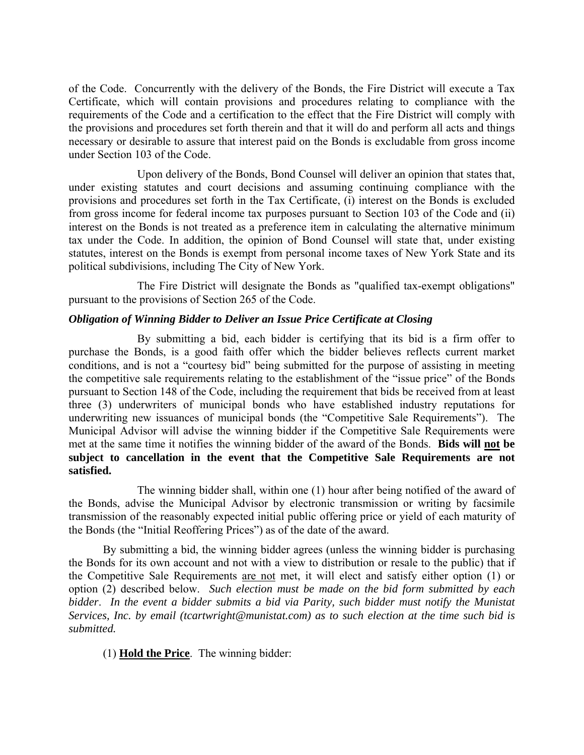of the Code. Concurrently with the delivery of the Bonds, the Fire District will execute a Tax Certificate, which will contain provisions and procedures relating to compliance with the requirements of the Code and a certification to the effect that the Fire District will comply with the provisions and procedures set forth therein and that it will do and perform all acts and things necessary or desirable to assure that interest paid on the Bonds is excludable from gross income under Section 103 of the Code.

Upon delivery of the Bonds, Bond Counsel will deliver an opinion that states that, under existing statutes and court decisions and assuming continuing compliance with the provisions and procedures set forth in the Tax Certificate, (i) interest on the Bonds is excluded from gross income for federal income tax purposes pursuant to Section 103 of the Code and (ii) interest on the Bonds is not treated as a preference item in calculating the alternative minimum tax under the Code. In addition, the opinion of Bond Counsel will state that, under existing statutes, interest on the Bonds is exempt from personal income taxes of New York State and its political subdivisions, including The City of New York.

The Fire District will designate the Bonds as "qualified tax-exempt obligations" pursuant to the provisions of Section 265 of the Code.

# *Obligation of Winning Bidder to Deliver an Issue Price Certificate at Closing*

By submitting a bid, each bidder is certifying that its bid is a firm offer to purchase the Bonds, is a good faith offer which the bidder believes reflects current market conditions, and is not a "courtesy bid" being submitted for the purpose of assisting in meeting the competitive sale requirements relating to the establishment of the "issue price" of the Bonds pursuant to Section 148 of the Code, including the requirement that bids be received from at least three (3) underwriters of municipal bonds who have established industry reputations for underwriting new issuances of municipal bonds (the "Competitive Sale Requirements"). The Municipal Advisor will advise the winning bidder if the Competitive Sale Requirements were met at the same time it notifies the winning bidder of the award of the Bonds. **Bids will not be subject to cancellation in the event that the Competitive Sale Requirements are not satisfied.**

The winning bidder shall, within one (1) hour after being notified of the award of the Bonds, advise the Municipal Advisor by electronic transmission or writing by facsimile transmission of the reasonably expected initial public offering price or yield of each maturity of the Bonds (the "Initial Reoffering Prices") as of the date of the award.

By submitting a bid, the winning bidder agrees (unless the winning bidder is purchasing the Bonds for its own account and not with a view to distribution or resale to the public) that if the Competitive Sale Requirements are not met, it will elect and satisfy either option (1) or option (2) described below. *Such election must be made on the bid form submitted by each bidder*. *In the event a bidder submits a bid via Parity, such bidder must notify the Munistat Services, Inc. by email (tcartwright@munistat.com) as to such election at the time such bid is submitted.* 

(1) **Hold the Price**. The winning bidder: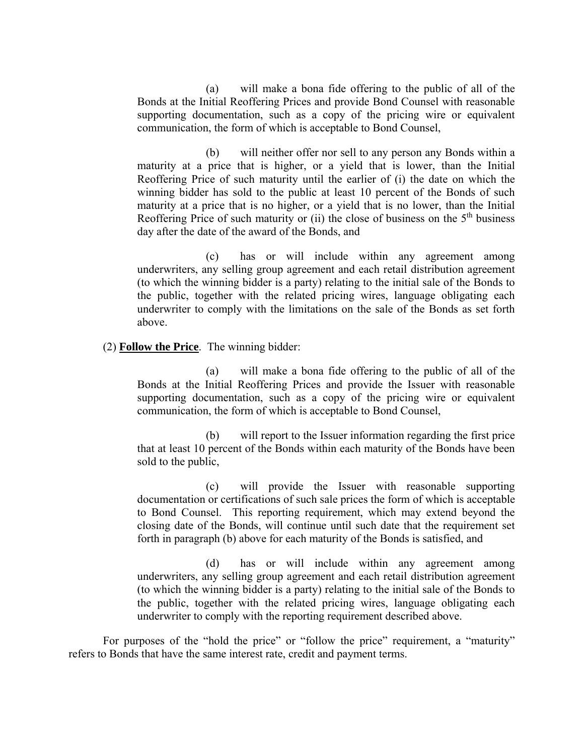(a) will make a bona fide offering to the public of all of the Bonds at the Initial Reoffering Prices and provide Bond Counsel with reasonable supporting documentation, such as a copy of the pricing wire or equivalent communication, the form of which is acceptable to Bond Counsel,

(b) will neither offer nor sell to any person any Bonds within a maturity at a price that is higher, or a yield that is lower, than the Initial Reoffering Price of such maturity until the earlier of (i) the date on which the winning bidder has sold to the public at least 10 percent of the Bonds of such maturity at a price that is no higher, or a yield that is no lower, than the Initial Reoffering Price of such maturity or (ii) the close of business on the  $5<sup>th</sup>$  business day after the date of the award of the Bonds, and

(c) has or will include within any agreement among underwriters, any selling group agreement and each retail distribution agreement (to which the winning bidder is a party) relating to the initial sale of the Bonds to the public, together with the related pricing wires, language obligating each underwriter to comply with the limitations on the sale of the Bonds as set forth above.

# (2) **Follow the Price**. The winning bidder:

(a) will make a bona fide offering to the public of all of the Bonds at the Initial Reoffering Prices and provide the Issuer with reasonable supporting documentation, such as a copy of the pricing wire or equivalent communication, the form of which is acceptable to Bond Counsel,

(b) will report to the Issuer information regarding the first price that at least 10 percent of the Bonds within each maturity of the Bonds have been sold to the public,

(c) will provide the Issuer with reasonable supporting documentation or certifications of such sale prices the form of which is acceptable to Bond Counsel. This reporting requirement, which may extend beyond the closing date of the Bonds, will continue until such date that the requirement set forth in paragraph (b) above for each maturity of the Bonds is satisfied, and

(d) has or will include within any agreement among underwriters, any selling group agreement and each retail distribution agreement (to which the winning bidder is a party) relating to the initial sale of the Bonds to the public, together with the related pricing wires, language obligating each underwriter to comply with the reporting requirement described above.

For purposes of the "hold the price" or "follow the price" requirement, a "maturity" refers to Bonds that have the same interest rate, credit and payment terms.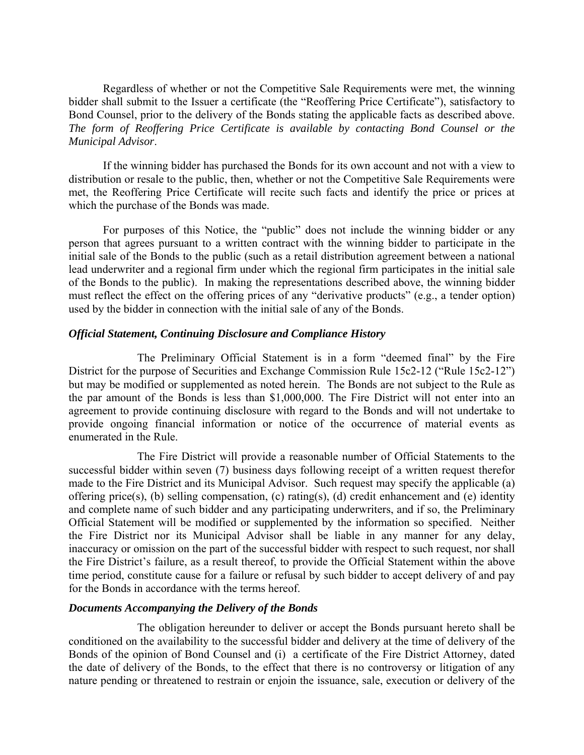Regardless of whether or not the Competitive Sale Requirements were met, the winning bidder shall submit to the Issuer a certificate (the "Reoffering Price Certificate"), satisfactory to Bond Counsel, prior to the delivery of the Bonds stating the applicable facts as described above. *The form of Reoffering Price Certificate is available by contacting Bond Counsel or the Municipal Advisor*.

If the winning bidder has purchased the Bonds for its own account and not with a view to distribution or resale to the public, then, whether or not the Competitive Sale Requirements were met, the Reoffering Price Certificate will recite such facts and identify the price or prices at which the purchase of the Bonds was made.

For purposes of this Notice, the "public" does not include the winning bidder or any person that agrees pursuant to a written contract with the winning bidder to participate in the initial sale of the Bonds to the public (such as a retail distribution agreement between a national lead underwriter and a regional firm under which the regional firm participates in the initial sale of the Bonds to the public). In making the representations described above, the winning bidder must reflect the effect on the offering prices of any "derivative products" (e.g., a tender option) used by the bidder in connection with the initial sale of any of the Bonds.

#### *Official Statement, Continuing Disclosure and Compliance History*

The Preliminary Official Statement is in a form "deemed final" by the Fire District for the purpose of Securities and Exchange Commission Rule 15c2-12 ("Rule 15c2-12") but may be modified or supplemented as noted herein. The Bonds are not subject to the Rule as the par amount of the Bonds is less than \$1,000,000. The Fire District will not enter into an agreement to provide continuing disclosure with regard to the Bonds and will not undertake to provide ongoing financial information or notice of the occurrence of material events as enumerated in the Rule.

The Fire District will provide a reasonable number of Official Statements to the successful bidder within seven (7) business days following receipt of a written request therefor made to the Fire District and its Municipal Advisor. Such request may specify the applicable (a) offering price(s), (b) selling compensation, (c) rating(s), (d) credit enhancement and (e) identity and complete name of such bidder and any participating underwriters, and if so, the Preliminary Official Statement will be modified or supplemented by the information so specified. Neither the Fire District nor its Municipal Advisor shall be liable in any manner for any delay, inaccuracy or omission on the part of the successful bidder with respect to such request, nor shall the Fire District's failure, as a result thereof, to provide the Official Statement within the above time period, constitute cause for a failure or refusal by such bidder to accept delivery of and pay for the Bonds in accordance with the terms hereof.

#### *Documents Accompanying the Delivery of the Bonds*

The obligation hereunder to deliver or accept the Bonds pursuant hereto shall be conditioned on the availability to the successful bidder and delivery at the time of delivery of the Bonds of the opinion of Bond Counsel and (i) a certificate of the Fire District Attorney, dated the date of delivery of the Bonds, to the effect that there is no controversy or litigation of any nature pending or threatened to restrain or enjoin the issuance, sale, execution or delivery of the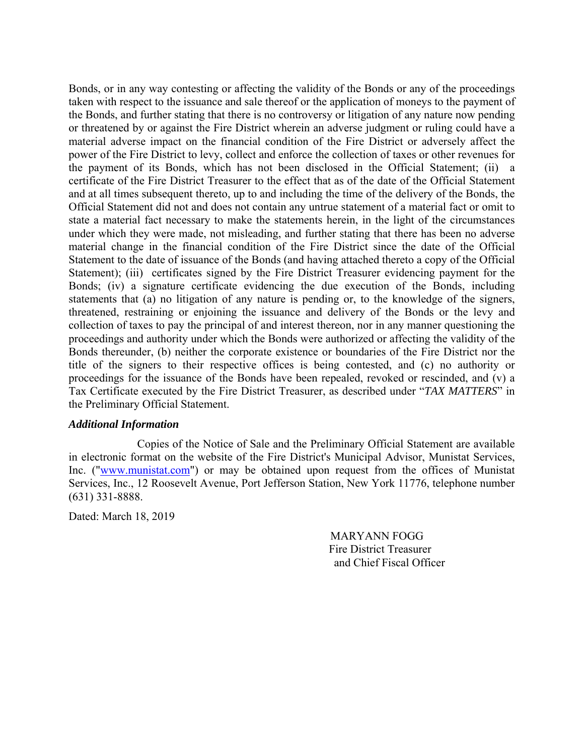Bonds, or in any way contesting or affecting the validity of the Bonds or any of the proceedings taken with respect to the issuance and sale thereof or the application of moneys to the payment of the Bonds, and further stating that there is no controversy or litigation of any nature now pending or threatened by or against the Fire District wherein an adverse judgment or ruling could have a material adverse impact on the financial condition of the Fire District or adversely affect the power of the Fire District to levy, collect and enforce the collection of taxes or other revenues for the payment of its Bonds, which has not been disclosed in the Official Statement; (ii) a certificate of the Fire District Treasurer to the effect that as of the date of the Official Statement and at all times subsequent thereto, up to and including the time of the delivery of the Bonds, the Official Statement did not and does not contain any untrue statement of a material fact or omit to state a material fact necessary to make the statements herein, in the light of the circumstances under which they were made, not misleading, and further stating that there has been no adverse material change in the financial condition of the Fire District since the date of the Official Statement to the date of issuance of the Bonds (and having attached thereto a copy of the Official Statement); (iii) certificates signed by the Fire District Treasurer evidencing payment for the Bonds; (iv) a signature certificate evidencing the due execution of the Bonds, including statements that (a) no litigation of any nature is pending or, to the knowledge of the signers, threatened, restraining or enjoining the issuance and delivery of the Bonds or the levy and collection of taxes to pay the principal of and interest thereon, nor in any manner questioning the proceedings and authority under which the Bonds were authorized or affecting the validity of the Bonds thereunder, (b) neither the corporate existence or boundaries of the Fire District nor the title of the signers to their respective offices is being contested, and (c) no authority or proceedings for the issuance of the Bonds have been repealed, revoked or rescinded, and (v) a Tax Certificate executed by the Fire District Treasurer, as described under "*TAX MATTERS*" in the Preliminary Official Statement.

#### *Additional Information*

Copies of the Notice of Sale and the Preliminary Official Statement are available in electronic format on the website of the Fire District's Municipal Advisor, Munistat Services, Inc. ("www.munistat.com") or may be obtained upon request from the offices of Munistat Services, Inc., 12 Roosevelt Avenue, Port Jefferson Station, New York 11776, telephone number (631) 331-8888.

Dated: March 18, 2019

 MARYANN FOGG Fire District Treasurer and Chief Fiscal Officer